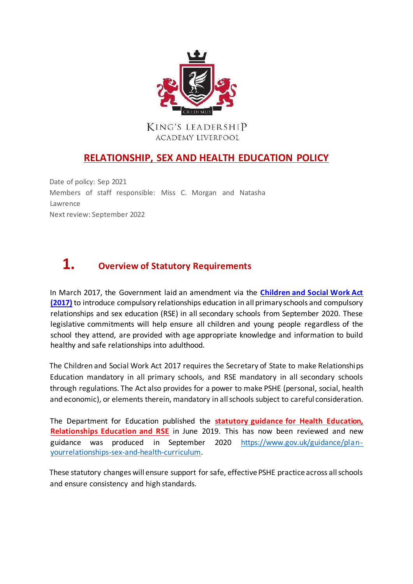

#### KING'S LEADERSHIP ACADEMY LIVERPOOL

### **RELATIONSHIP, SEX AND HEALTH EDUCATION POLICY**

Date of policy: Sep 2021 Members of staff responsible: Miss C. Morgan and Natasha Lawrence Next review: September 2022

# **1. Overview of Statutory Requirements**

In March 2017, the Government laid an amendment via the **[Children and Social Work Act](http://www.legislation.gov.uk/ukpga/2017/16/part/1/chapter/4/enacted) [\(2017\)](http://www.legislation.gov.uk/ukpga/2017/16/part/1/chapter/4/enacted)** [to](http://www.legislation.gov.uk/ukpga/2017/16/part/1/chapter/4/enacted) introduce compulsory relationships education in all primary schools and compulsory relationships and sex education (RSE) in all secondary schools from September 2020. These legislative commitments will help ensure all children and young people regardless of the school they attend, are provided with age appropriate knowledge and information to build healthy and safe relationships into adulthood.

The Children and Social Work Act 2017 requires the Secretary of State to make Relationships Education mandatory in all primary schools, and RSE mandatory in all secondary schools through regulations. The Act also provides for a power to make PSHE (personal, social, health and economic), or elements therein, mandatory in all schools subject to careful consideration.

The Department for Education published the **[statutory guidance for Health Education,](https://assets.publishing.service.gov.uk/government/uploads/system/uploads/attachment_data/file/805781/Relationships_Education__Relationships_and_Sex_Education__RSE__and_Health_Education.pdf) [Relationships Education and RSE](https://assets.publishing.service.gov.uk/government/uploads/system/uploads/attachment_data/file/805781/Relationships_Education__Relationships_and_Sex_Education__RSE__and_Health_Education.pdf)** in June 2019. This has now been reviewed and new guidance was produced in September 2020 [https://www.gov.uk/guidance/plan](https://www.gov.uk/guidance/plan-your-relationships-sex-and-health-curriculum)[yourrelationships-sex-and-health-curriculum.](https://www.gov.uk/guidance/plan-your-relationships-sex-and-health-curriculum)

These statutory changes will ensure support for safe, effective PSHE practice across all schools and ensure consistency and high standards.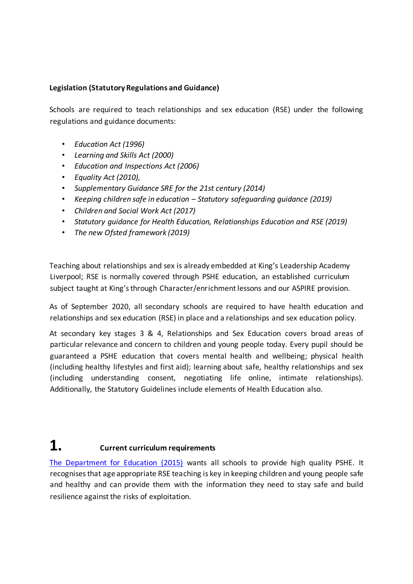#### **Legislation (Statutory Regulations and Guidance)**

Schools are required to teach relationships and sex education (RSE) under the following regulations and guidance documents:

- *Education Act (1996)*
- *Learning and Skills Act (2000)*
- *Education and Inspections Act (2006)*
- *Equality Act (2010),*
- *Supplementary Guidance SRE for the 21st century (2014)*
- *Keeping children safe in education – Statutory safeguarding guidance (2019)*
- *Children and Social Work Act (2017)*
- *[Statutory guidance for Health Education, Relationships Education and RSE](https://assets.publishing.service.gov.uk/government/uploads/system/uploads/attachment_data/file/781150/Draft_guidance_Relationships_Education__Relationships_and_Sex_Education__RSE__and_Health_Education2.pdf) (2019)*
- *The new Ofsted framework (2019)*

Teaching about relationships and sex is already embedded at King's Leadership Academy Liverpool; RSE is normally covered through PSHE education, an established curriculum subject taught at King's through Character/enrichment lessons and our ASPIRE provision.

As of September 2020, all secondary schools are required to have health education and relationships and sex education (RSE) in place and a relationships and sex education policy.

At secondary key stages 3 & 4, Relationships and Sex Education covers broad areas of particular relevance and concern to children and young people today. Every pupil should be guaranteed a PSHE education that covers mental health and wellbeing; physical health (including healthy lifestyles and first aid); learning about safe, healthy relationships and sex (including understanding consent, negotiating life online, intimate relationships). Additionally, the Statutory Guidelines include elements of Health Education also.

## **1. Current curriculum requirements**

[The Department for Education \(2015\)](http://www.gov.uk/government/uploads/system/uploads/attachment_data/file/446322/Government_response_to_Life_lessons_PSHE_and_SRE_in_schools___print_version_.pdf) wants all schools to provide high quality PSHE. It recognises that age appropriate RSE teaching is key in keeping children and young people safe and healthy and can provide them with the information they need to stay safe and build resilience against the risks of exploitation.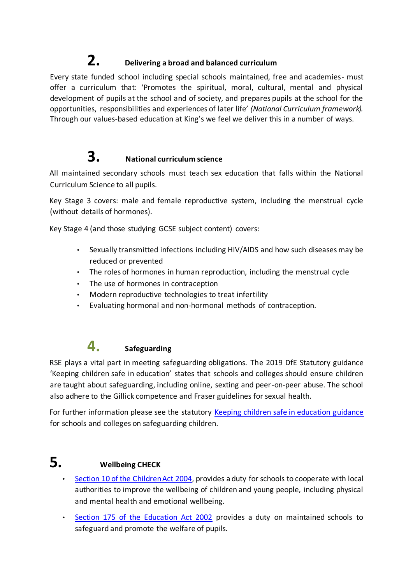## **2. Delivering a broad and balanced curriculum**

Every state funded school including special schools maintained, free and academies- must offer a curriculum that: 'Promotes the spiritual, moral, cultural, mental and physical development of pupils at the school and of society, and prepares pupils at the school for the opportunities, responsibilities and experiences of later life' *(National Curriculum framework).* Through our values-based education at King's we feel we deliver this in a number of ways.

# **3. National curriculum science**

All maintained secondary schools must teach sex education that falls within the National Curriculum Science to all pupils.

Key Stage 3 covers: male and female reproductive system, including the menstrual cycle (without details of hormones).

Key Stage 4 (and those studying GCSE subject content) covers:

- Sexually transmitted infections including HIV/AIDS and how such diseases may be reduced or prevented
- The roles of hormones in human reproduction, including the menstrual cycle
- The use of hormones in contraception
- Modern reproductive technologies to treat infertility
- Evaluating hormonal and non-hormonal methods of contraception.

### **4. Safeguarding**

RSE plays a vital part in meeting safeguarding obligations. The 2019 DfE Statutory guidance 'Keeping children safe in education' states that schools and colleges should ensure children are taught about safeguarding, including online, sexting and peer-on-peer abuse. The school also adhere to the Gillick competence and Fraser guidelines for sexual health.

For further information please see the statutory [Keeping children safe in education guidance](http://www.gov.uk/government/publications/keeping-children-safe-in-education--2) for schools and colleges on safeguarding children.

## **5. Wellbeing CHECK**

- [Section 10 of the Children Act 2004,](http://www.legislation.gov.uk/ukpga/2004/31/section/10) provides a duty for schools to cooperate with local authorities to improve the wellbeing of children and young people, including physical and mental health and emotional wellbeing.
- [Section 175 of the Education Act 2002](http://www.legislation.gov.uk/ukpga/2002/32/section/175) provides a duty on maintained schools to safeguard and promote the welfare of pupils.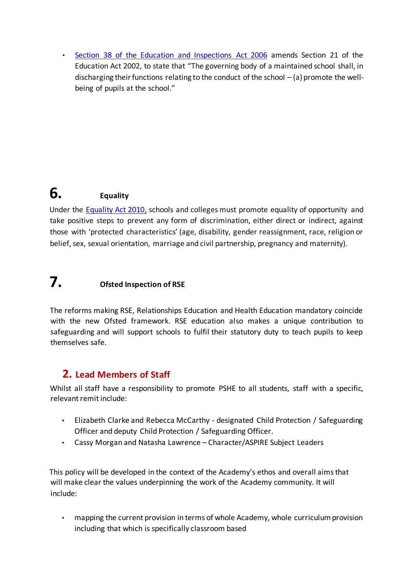• [Section 38 of the Education and Inspections Act 2006](http://www.legislation.gov.uk/ukpga/2006/40/section/38) [a](http://www.legislation.gov.uk/ukpga/2006/40/section/38)mends Section 21 of the Education Act 2002, to state that "The governing body of a maintained school shall, in discharging their functions relating to the conduct of the school  $-$  (a) promote the wellbeing of pupils at the school."

## **6. Equality**

Under the [Equality Act 2010,](http://www.legislation.gov.uk/ukpga/2010/15/part/6/chapter/1) schools and colleges must promote equality of opportunity and take positive steps to prevent any form of discrimination, either direct or indirect, against those with 'protected characteristics' (age, disability, gender reassignment, race, religion or belief, sex, sexual orientation, marriage and civil partnership, pregnancy and maternity).

## **7. Ofsted Inspection of RSE**

The reforms making RSE, Relationships Education and Health Education mandatory coincide with the new Ofsted framework. RSE education also makes a unique contribution to safeguarding and will support schools to fulfil their statutory duty to teach pupils to keep themselves safe.

### **2. Lead Members of Staff**

Whilst all staff have a responsibility to promote PSHE to all students, staff with a specific, relevant remit include:

- Elizabeth Clarke and Rebecca McCarthy designated Child Protection / Safeguarding Officer and deputy Child Protection / Safeguarding Officer.
- Cassy Morgan and Natasha Lawrence Character/ASPIRE Subject Leaders

This policy will be developed in the context of the Academy's ethos and overall aims that will make clear the values underpinning the work of the Academy community. It will include:

• mapping the current provision in terms of whole Academy, whole curriculum provision including that which is specifically classroom based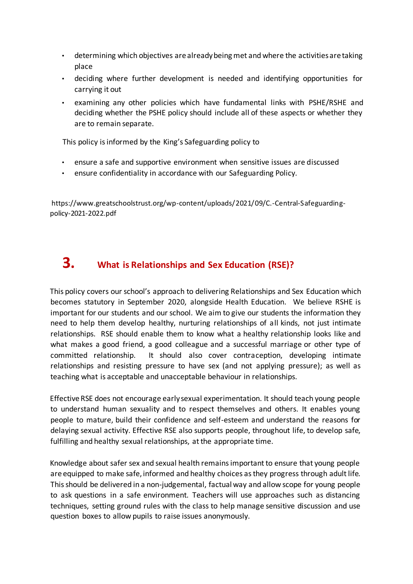- determining which objectives are already being met and where the activities are taking place
- deciding where further development is needed and identifying opportunities for carrying it out
- examining any other policies which have fundamental links with PSHE/RSHE and deciding whether the PSHE policy should include all of these aspects or whether they are to remain separate.

This policy is informed by the King's Safeguarding policy to

- ensure a safe and supportive environment when sensitive issues are discussed
- ensure confidentiality in accordance with our Safeguarding Policy.

https://www.greatschoolstrust.org/wp-content/uploads/2021/09/C.-Central-Safeguardingpolicy-2021-2022.pdf

# **3. What is Relationships and Sex Education (RSE)?**

This policy covers our school's approach to delivering Relationships and Sex Education which becomes statutory in September 2020, alongside Health Education. We believe RSHE is important for our students and our school. We aim to give our students the information they need to help them develop healthy, nurturing relationships of all kinds, not just intimate relationships. RSE should enable them to know what a healthy relationship looks like and what makes a good friend, a good colleague and a successful marriage or other type of committed relationship. It should also cover contraception, developing intimate relationships and resisting pressure to have sex (and not applying pressure); as well as teaching what is acceptable and unacceptable behaviour in relationships.

Effective RSE does not encourage early sexual experimentation. It should teach young people to understand human sexuality and to respect themselves and others. It enables young people to mature, build their confidence and self-esteem and understand the reasons for delaying sexual activity. Effective RSE also supports people, throughout life, to develop safe, fulfilling and healthy sexual relationships, at the appropriate time.

Knowledge about safer sex and sexual health remains important to ensure that young people are equipped to make safe, informed and healthy choices as they progress through adult life. This should be delivered in a non-judgemental, factual way and allow scope for young people to ask questions in a safe environment. Teachers will use approaches such as distancing techniques, setting ground rules with the class to help manage sensitive discussion and use question boxes to allow pupils to raise issues anonymously.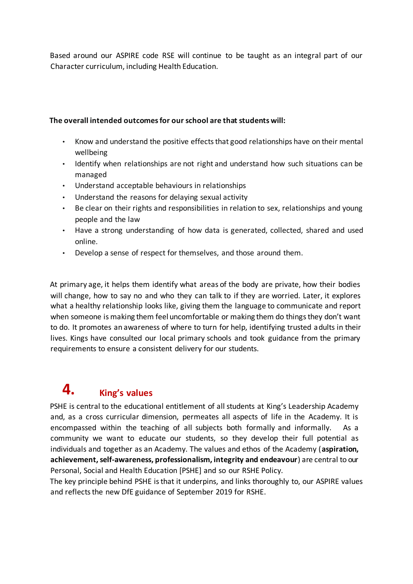Based around our ASPIRE code RSE will continue to be taught as an integral part of our Character curriculum, including Health Education.

#### **The overall intended outcomes for our school are that students will:**

- Know and understand the positive effects that good relationships have on their mental wellbeing
- Identify when relationships are not right and understand how such situations can be managed
- Understand acceptable behaviours in relationships
- Understand the reasons for delaying sexual activity
- Be clear on their rights and responsibilities in relation to sex, relationships and young people and the law
- Have a strong understanding of how data is generated, collected, shared and used online.
- Develop a sense of respect for themselves, and those around them.

At primary age, it helps them identify what areas of the body are private, how their bodies will change, how to say no and who they can talk to if they are worried. Later, it explores what a healthy relationship looks like, giving them the language to communicate and report when someone is making them feel uncomfortable or making them do things they don't want to do. It promotes an awareness of where to turn for help, identifying trusted adults in their lives. Kings have consulted our local primary schools and took guidance from the primary requirements to ensure a consistent delivery for our students.

# **4. King's values**

PSHE is central to the educational entitlement of all students at King's Leadership Academy and, as a cross curricular dimension, permeates all aspects of life in the Academy. It is encompassed within the teaching of all subjects both formally and informally. As a community we want to educate our students, so they develop their full potential as individuals and together as an Academy. The values and ethos of the Academy (**aspiration, achievement, self-awareness, professionalism, integrity and endeavour**) are central to our Personal, Social and Health Education [PSHE] and so our RSHE Policy.

The key principle behind PSHE is that it underpins, and links thoroughly to, our ASPIRE values and reflects the new DfE guidance of September 2019 for RSHE.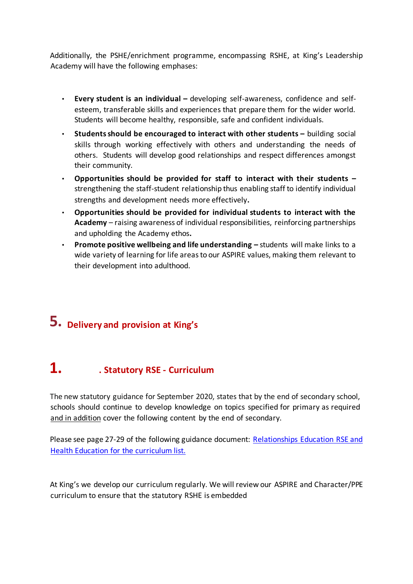Additionally, the PSHE/enrichment programme, encompassing RSHE, at King's Leadership Academy will have the following emphases:

- **Every student is an individual –** developing self-awareness, confidence and selfesteem, transferable skills and experiences that prepare them for the wider world. Students will become healthy, responsible, safe and confident individuals.
- **Students should be encouraged to interact with other students –** building social skills through working effectively with others and understanding the needs of others. Students will develop good relationships and respect differences amongst their community.
- **Opportunities should be provided for staff to interact with their students –** strengthening the staff-student relationship thus enabling staff to identify individual strengths and development needs more effectively**.**
- **Opportunities should be provided for individual students to interact with the Academy** – raising awareness of individual responsibilities, reinforcing partnerships and upholding the Academy ethos**.**
- **Promote positive wellbeing and life understanding –** students will make links to a wide variety of learning for life areas to our ASPIRE values, making them relevant to their development into adulthood.

# **5. Delivery and provision at King's**

## **1. . Statutory RSE - Curriculum**

The new statutory guidance for September 2020, states that by the end of secondary school, schools should continue to develop knowledge on topics specified for primary as required and in addition cover the following content by the end of secondary.

Please see page 27-29 of the following guidance document: [Relationships Education RSE and](https://assets.publishing.service.gov.uk/government/uploads/system/uploads/attachment_data/file/805781/Relationships_Education__Relationships_and_Sex_Education__RSE__and_Health_Education.pdf) [Health Education](https://assets.publishing.service.gov.uk/government/uploads/system/uploads/attachment_data/file/805781/Relationships_Education__Relationships_and_Sex_Education__RSE__and_Health_Education.pdf) [f](https://assets.publishing.service.gov.uk/government/uploads/system/uploads/attachment_data/file/805781/Relationships_Education__Relationships_and_Sex_Education__RSE__and_Health_Education.pdf)or the curriculum list.

At King's we develop our curriculum regularly. We will review our ASPIRE and Character/PPE curriculum to ensure that the statutory RSHE is embedded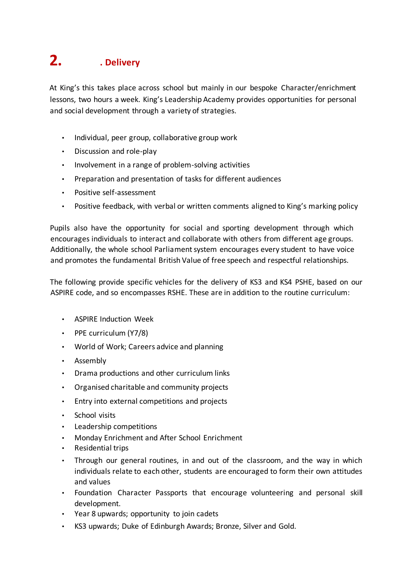# **2. . Delivery**

At King's this takes place across school but mainly in our bespoke Character/enrichment lessons, two hours a week. King's Leadership Academy provides opportunities for personal and social development through a variety of strategies.

- Individual, peer group, collaborative group work
- Discussion and role-play
- Involvement in a range of problem-solving activities
- Preparation and presentation of tasks for different audiences
- Positive self-assessment
- Positive feedback, with verbal or written comments aligned to King's marking policy

Pupils also have the opportunity for social and sporting development through which encourages individuals to interact and collaborate with others from different age groups. Additionally, the whole school Parliament system encourages every student to have voice and promotes the fundamental British Value of free speech and respectful relationships.

The following provide specific vehicles for the delivery of KS3 and KS4 PSHE, based on our ASPIRE code, and so encompasses RSHE. These are in addition to the routine curriculum:

- ASPIRE Induction Week
- PPE curriculum (Y7/8)
- World of Work; Careers advice and planning
- Assembly
- Drama productions and other curriculum links
- Organised charitable and community projects
- Entry into external competitions and projects
- School visits
- Leadership competitions
- Monday Enrichment and After School Enrichment
- Residential trips
- Through our general routines, in and out of the classroom, and the way in which individuals relate to each other, students are encouraged to form their own attitudes and values
- Foundation Character Passports that encourage volunteering and personal skill development.
- Year 8 upwards; opportunity to join cadets
- KS3 upwards; Duke of Edinburgh Awards; Bronze, Silver and Gold.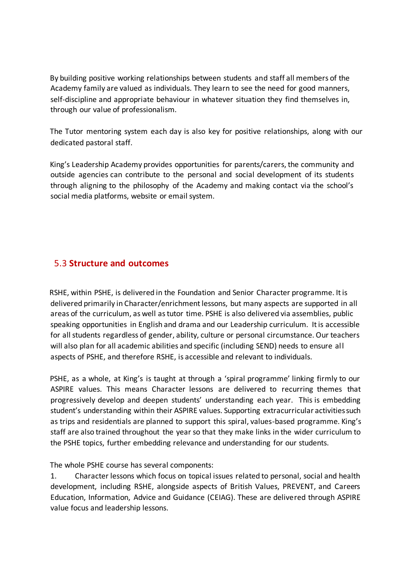By building positive working relationships between students and staff all members of the Academy family are valued as individuals. They learn to see the need for good manners, self-discipline and appropriate behaviour in whatever situation they find themselves in, through our value of professionalism.

The Tutor mentoring system each day is also key for positive relationships, along with our dedicated pastoral staff.

King's Leadership Academy provides opportunities for parents/carers, the community and outside agencies can contribute to the personal and social development of its students through aligning to the philosophy of the Academy and making contact via the school's social media platforms, website or email system.

#### 5.3 **Structure and outcomes**

RSHE, within PSHE, is delivered in the Foundation and Senior Character programme. It is delivered primarily in Character/enrichment lessons, but many aspects are supported in all areas of the curriculum, as well as tutor time. PSHE is also delivered via assemblies, public speaking opportunities in English and drama and our Leadership curriculum. It is accessible for all students regardless of gender, ability, culture or personal circumstance. Our teachers will also plan for all academic abilities and specific (including SEND) needs to ensure all aspects of PSHE, and therefore RSHE, is accessible and relevant to individuals.

PSHE, as a whole, at King's is taught at through a 'spiral programme' linking firmly to our ASPIRE values. This means Character lessons are delivered to recurring themes that progressively develop and deepen students' understanding each year. This is embedding student's understanding within their ASPIRE values. Supporting extracurricular activities such as trips and residentials are planned to support this spiral, values-based programme. King's staff are also trained throughout the year so that they make links in the wider curriculum to the PSHE topics, further embedding relevance and understanding for our students.

The whole PSHE course has several components:

1. Character lessons which focus on topical issues related to personal, social and health development, including RSHE, alongside aspects of British Values, PREVENT, and Careers Education, Information, Advice and Guidance (CEIAG). These are delivered through ASPIRE value focus and leadership lessons.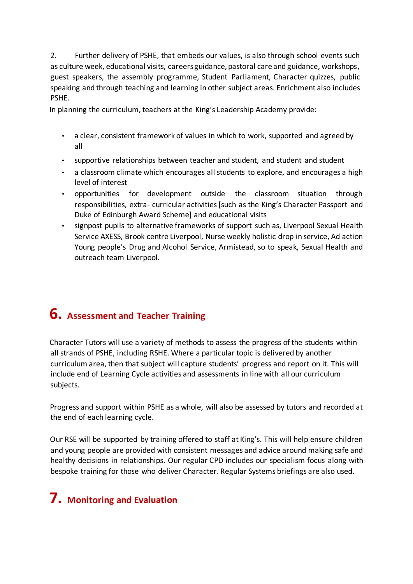2. Further delivery of PSHE, that embeds our values, is also through school events such as culture week, educational visits, careers guidance, pastoral care and guidance, workshops, guest speakers, the assembly programme, Student Parliament, Character quizzes, public speaking and through teaching and learning in other subject areas. Enrichment also includes PSHE.

In planning the curriculum, teachers at the King's Leadership Academy provide:

- a clear, consistent framework of values in which to work, supported and agreed by all
- supportive relationships between teacher and student, and student and student
- a classroom climate which encourages all students to explore, and encourages a high level of interest
- opportunities for development outside the classroom situation through responsibilities, extra- curricular activities [such as the King's Character Passport and Duke of Edinburgh Award Scheme] and educational visits
- signpost pupils to alternative frameworks of support such as, Liverpool Sexual Health Service AXESS, Brook centre Liverpool, Nurse weekly holistic drop in service, Ad action Young people's Drug and Alcohol Service, Armistead, so to speak, Sexual Health and outreach team Liverpool.

## **6. Assessment and Teacher Training**

Character Tutors will use a variety of methods to assess the progress of the students within all strands of PSHE, including RSHE. Where a particular topic is delivered by another curriculum area, then that subject will capture students' progress and report on it. This will include end of Learning Cycle activities and assessments in line with all our curriculum subjects.

Progress and support within PSHE as a whole, will also be assessed by tutors and recorded at the end of each learning cycle.

Our RSE will be supported by training offered to staff at King's. This will help ensure children and young people are provided with consistent messages and advice around making safe and healthy decisions in relationships. Our regular CPD includes our specialism focus along with bespoke training for those who deliver Character. Regular Systems briefings are also used.

# **7. Monitoring and Evaluation**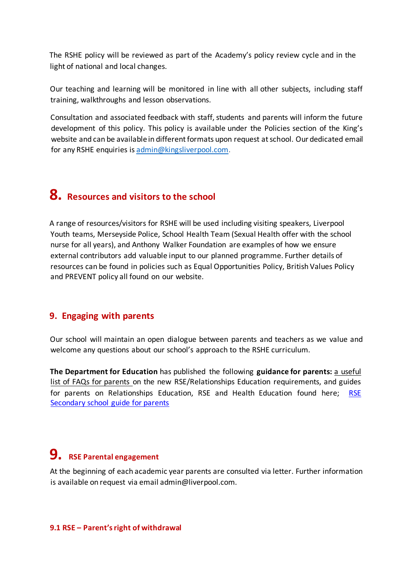The RSHE policy will be reviewed as part of the Academy's policy review cycle and in the light of national and local changes.

Our teaching and learning will be monitored in line with all other subjects, including staff training, walkthroughs and lesson observations.

Consultation and associated feedback with staff, students and parents will inform the future development of this policy. This policy is available under the Policies section of the King's website and can be available in different formats upon request at school. Our dedicated email for any RSHE enquiries is admin@kingsliverpool.com.

## **8. Resources and visitors to the school**

A range of resources/visitors for RSHE will be used including visiting speakers, Liverpool Youth teams, Merseyside Police, School Health Team (Sexual Health offer with the school nurse for all years), and Anthony Walker Foundation are examples of how we ensure external contributors add valuable input to our planned programme. Further details of resources can be found in policies such as Equal Opportunities Policy, British Values Policy and PREVENT policy all found on our website.

#### **9. Engaging with parents**

Our school will maintain an open dialogue between parents and teachers as we value and welcome any questions about our school's approach to the RSHE curriculum.

**The Department for Education** has published the following **guidance for parents:** [a](https://www.gov.uk/government/news/relationships-education-relationships-and-sex-education-rse-and-health-education-faqs?utm_source=2b45920e-083a-44ad-9c3f-16fed9168d3f&utm_medium=email&utm_campaign=govuk-notifications&utm_content=immediate) [useful](https://www.gov.uk/government/news/relationships-education-relationships-and-sex-education-rse-and-health-education-faqs?utm_source=2b45920e-083a-44ad-9c3f-16fed9168d3f&utm_medium=email&utm_campaign=govuk-notifications&utm_content=immediate) [list of FAQs for parents on](https://www.gov.uk/government/news/relationships-education-relationships-and-sex-education-rse-and-health-education-faqs?utm_source=2b45920e-083a-44ad-9c3f-16fed9168d3f&utm_medium=email&utm_campaign=govuk-notifications&utm_content=immediate) the new RSE/Relationships Education requirements, and guides for parents on Relationships Education, RSE and Health Education found here; [RSE](https://assets.publishing.service.gov.uk/government/uploads/system/uploads/attachment_data/file/812594/RSE_secondary_schools_guide_for_parents.pdf) [Secondary school guide for parents](https://assets.publishing.service.gov.uk/government/uploads/system/uploads/attachment_data/file/812594/RSE_secondary_schools_guide_for_parents.pdf)

## **9. RSE Parental engagement**

At the beginning of each academic year parents are consulted via letter. Further information is available on request via email admin@liverpool.com.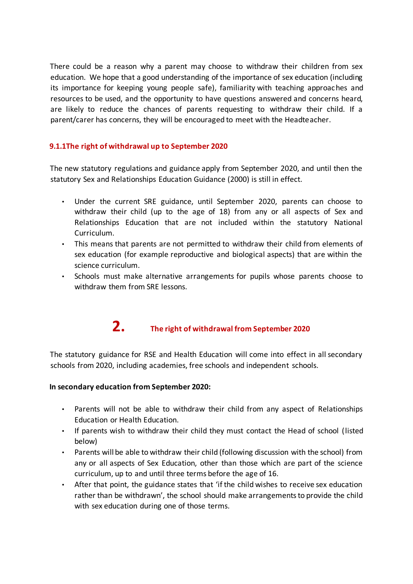There could be a reason why a parent may choose to withdraw their children from sex education. We hope that a good understanding of the importance of sex education (including its importance for keeping young people safe), familiarity with teaching approaches and resources to be used, and the opportunity to have questions answered and concerns heard, are likely to reduce the chances of parents requesting to withdraw their child. If a parent/carer has concerns, they will be encouraged to meet with the Headteacher.

#### **9.1.1The right of withdrawal up to September 2020**

The new statutory regulations and guidance apply from September 2020, and until then the statutory Sex and Relationships Education Guidance (2000) is still in effect.

- Under the current SRE guidance, until September 2020, parents can choose to withdraw their child (up to the age of 18) from any or all aspects of Sex and Relationships Education that are not included within the statutory National Curriculum.
- This means that parents are not permitted to withdraw their child from elements of sex education (for example reproductive and biological aspects) that are within the science curriculum.
- Schools must make alternative arrangements for pupils whose parents choose to withdraw them from SRE lessons.

## **2. The right of withdrawal from September 2020**

The statutory guidance for RSE and Health Education will come into effect in all secondary schools from 2020, including academies, free schools and independent schools.

#### **In secondary education from September 2020:**

- Parents will not be able to withdraw their child from any aspect of Relationships Education or Health Education.
- If parents wish to withdraw their child they must contact the Head of school (listed below)
- Parents will be able to withdraw their child (following discussion with the school) from any or all aspects of Sex Education, other than those which are part of the science curriculum, up to and until three terms before the age of 16.
- After that point, the guidance states that 'if the child wishes to receive sex education rather than be withdrawn', the school should make arrangements to provide the child with sex education during one of those terms.